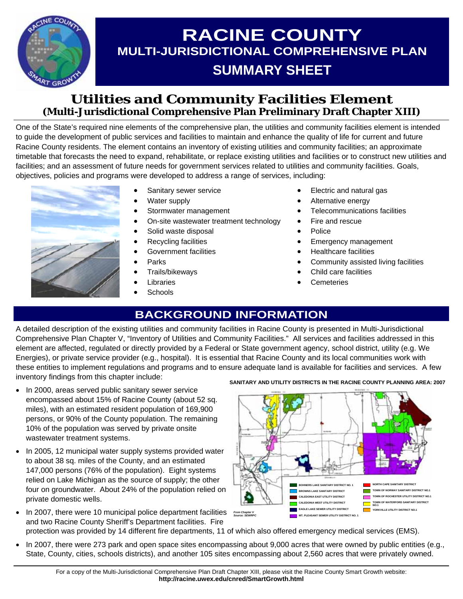

# **RACINE COUNTY MULTI-JURISDICTIONAL COMPREHENSIVE PLAN SUMMARY SHEET**

### **Utilities and Community Facilities Element (Multi-Jurisdictional Comprehensive Plan Preliminary Draft Chapter XIII)**

One of the State's required nine elements of the comprehensive plan, the utilities and community facilities element is intended to guide the development of public services and facilities to maintain and enhance the quality of life for current and future Racine County residents. The element contains an inventory of existing utilities and community facilities; an approximate timetable that forecasts the need to expand, rehabilitate, or replace existing utilities and facilities or to construct new utilities and facilities; and an assessment of future needs for government services related to utilities and community facilities. Goals, objectives, policies and programs were developed to address a range of services, including:



- Sanitary sewer service
- Water supply
- Stormwater management
- On-site wastewater treatment technology
- Solid waste disposal
- Recycling facilities
- Government facilities
- Parks
- Trails/bikeways
- **Libraries**
- **Schools**
- Electric and natural gas
- Alternative energy
- Telecommunications facilities
- Fire and rescue
- Police
- Emergency management
- Healthcare facilities
- Community assisted living facilities
- Child care facilities
- **Cemeteries**

### **BACKGROUND INFORMATION**

A detailed description of the existing utilities and community facilities in Racine County is presented in Multi-Jurisdictional Comprehensive Plan Chapter V, "Inventory of Utilities and Community Facilities." All services and facilities addressed in this element are affected, regulated or directly provided by a Federal or State government agency, school district, utility (e.g. We Energies), or private service provider (e.g., hospital). It is essential that Racine County and its local communities work with these entities to implement regulations and programs and to ensure adequate land is available for facilities and services. A few inventory findings from this chapter include:

- In 2000, areas served public sanitary sewer service encompassed about 15% of Racine County (about 52 sq. miles), with an estimated resident population of 169,900 persons, or 90% of the County population. The remaining 10% of the population was served by private onsite wastewater treatment systems.
- In 2005, 12 municipal water supply systems provided water to about 38 sq. miles of the County, and an estimated 147,000 persons (76% of the population). Eight systems relied on Lake Michigan as the source of supply; the other four on groundwater. About 24% of the population relied on private domestic wells.
- In 2007, there were 10 municipal police department facilities Four Chapter v and two Racine County Sheriff's Department facilities. Fire

**SANITARY AND UTILITY DISTRICTS IN THE RACINE COUNTY PLANNING AREA: 2007** 



protection was provided by 14 different fire departments, 11 of which also offered emergency medical services (EMS).

• In 2007, there were 273 park and open space sites encompassing about 9,000 acres that were owned by public entities (e.g., State, County, cities, schools districts), and another 105 sites encompassing about 2,560 acres that were privately owned.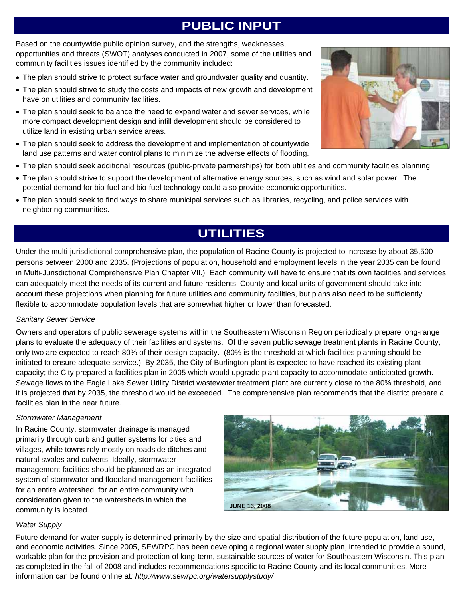### **PUBLIC INPUT**

Based on the countywide public opinion survey, and the strengths, weaknesses, opportunities and threats (SWOT) analyses conducted in 2007, some of the utilities and community facilities issues identified by the community included:

- The plan should strive to protect surface water and groundwater quality and quantity.
- The plan should strive to study the costs and impacts of new growth and development have on utilities and community facilities.
- The plan should seek to balance the need to expand water and sewer services, while more compact development design and infill development should be considered to utilize land in existing urban service areas.
- The plan should seek to address the development and implementation of countywide land use patterns and water control plans to minimize the adverse effects of flooding.
- The plan should seek additional resources (public-private partnerships) for both utilities and community facilities planning.
- The plan should strive to support the development of alternative energy sources, such as wind and solar power. The potential demand for bio-fuel and bio-fuel technology could also provide economic opportunities.
- The plan should seek to find ways to share municipal services such as libraries, recycling, and police services with neighboring communities.

## **UTILITIES**

Under the multi-jurisdictional comprehensive plan, the population of Racine County is projected to increase by about 35,500 persons between 2000 and 2035. (Projections of population, household and employment levels in the year 2035 can be found in Multi-Jurisdictional Comprehensive Plan Chapter VII.) Each community will have to ensure that its own facilities and services can adequately meet the needs of its current and future residents. County and local units of government should take into account these projections when planning for future utilities and community facilities, but plans also need to be sufficiently flexible to accommodate population levels that are somewhat higher or lower than forecasted.

### *Sanitary Sewer Service*

Owners and operators of public sewerage systems within the Southeastern Wisconsin Region periodically prepare long-range plans to evaluate the adequacy of their facilities and systems. Of the seven public sewage treatment plants in Racine County, only two are expected to reach 80% of their design capacity. (80% is the threshold at which facilities planning should be initiated to ensure adequate service.) By 2035, the City of Burlington plant is expected to have reached its existing plant capacity; the City prepared a facilities plan in 2005 which would upgrade plant capacity to accommodate anticipated growth. Sewage flows to the Eagle Lake Sewer Utility District wastewater treatment plant are currently close to the 80% threshold, and it is projected that by 2035, the threshold would be exceeded. The comprehensive plan recommends that the district prepare a facilities plan in the near future.

#### *Stormwater Management*

In Racine County, stormwater drainage is managed primarily through curb and gutter systems for cities and villages, while towns rely mostly on roadside ditches and natural swales and culverts. Ideally, stormwater management facilities should be planned as an integrated system of stormwater and floodland management facilities for an entire watershed, for an entire community with consideration given to the watersheds in which the community is located.



#### *Water Supply*

Future demand for water supply is determined primarily by the size and spatial distribution of the future population, land use, and economic activities. Since 2005, SEWRPC has been developing a regional water supply plan, intended to provide a sound, workable plan for the provision and protection of long-term, sustainable sources of water for Southeastern Wisconsin. This plan as completed in the fall of 2008 and includes recommendations specific to Racine County and its local communities. More information can be found online at*: http://www.sewrpc.org/watersupplystudy/* 

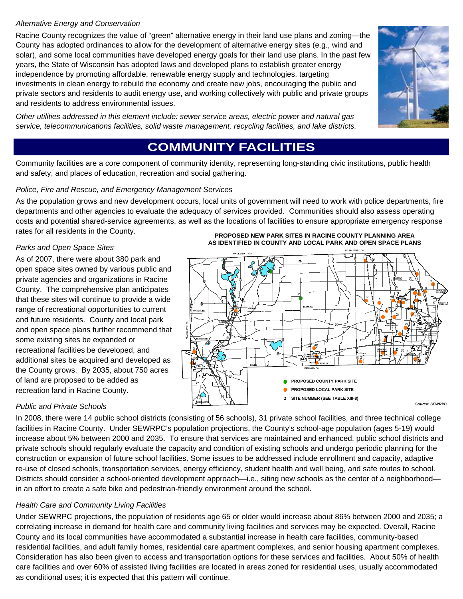### *Alternative Energy and Conservation*

Racine County recognizes the value of "green" alternative energy in their land use plans and zoning—the County has adopted ordinances to allow for the development of alternative energy sites (e.g., wind and solar), and some local communities have developed energy goals for their land use plans. In the past few years, the State of Wisconsin has adopted laws and developed plans to establish greater energy independence by promoting affordable, renewable energy supply and technologies, targeting investments in clean energy to rebuild the economy and create new jobs, encouraging the public and private sectors and residents to audit energy use, and working collectively with public and private groups and residents to address environmental issues.

*Other utilities addressed in this element include: sewer service areas, electric power and natural gas service, telecommunications facilities, solid waste management, recycling facilities, and lake districts.* 



### **COMMUNITY FACILITIES**

Community facilities are a core component of community identity, representing long-standing civic institutions, public health and safety, and places of education, recreation and social gathering.

### *Police, Fire and Rescue, and Emergency Management Services*

As the population grows and new development occurs, local units of government will need to work with police departments, fire departments and other agencies to evaluate the adequacy of services provided. Communities should also assess operating costs and potential shared-service agreements, as well as the locations of facilities to ensure appropriate emergency response rates for all residents in the County.

### *Parks and Open Space Sites*

As of 2007, there were about 380 park and open space sites owned by various public and private agencies and organizations in Racine County. The comprehensive plan anticipates that these sites will continue to provide a wide range of recreational opportunities to current and future residents. County and local park and open space plans further recommend that some existing sites be expanded or recreational facilities be developed, and additional sites be acquired and developed as the County grows. By 2035, about 750 acres of land are proposed to be added as recreation land in Racine County.





### *Public and Private Schools*

In 2008, there were 14 public school districts (consisting of 56 schools), 31 private school facilities, and three technical college facilities in Racine County. Under SEWRPC's population projections, the County's school-age population (ages 5-19) would increase about 5% between 2000 and 2035. To ensure that services are maintained and enhanced, public school districts and private schools should regularly evaluate the capacity and condition of existing schools and undergo periodic planning for the construction or expansion of future school facilities. Some issues to be addressed include enrollment and capacity, adaptive re-use of closed schools, transportation services, energy efficiency, student health and well being, and safe routes to school. Districts should consider a school-oriented development approach—i.e., siting new schools as the center of a neighborhood in an effort to create a safe bike and pedestrian-friendly environment around the school.

### *Health Care and Community Living Facilities*

Under SEWRPC projections, the population of residents age 65 or older would increase about 86% between 2000 and 2035; a correlating increase in demand for health care and community living facilities and services may be expected. Overall, Racine County and its local communities have accommodated a substantial increase in health care facilities, community-based residential facilities, and adult family homes, residential care apartment complexes, and senior housing apartment complexes. Consideration has also been given to access and transportation options for these services and facilities. About 50% of health care facilities and over 60% of assisted living facilities are located in areas zoned for residential uses, usually accommodated as conditional uses; it is expected that this pattern will continue.